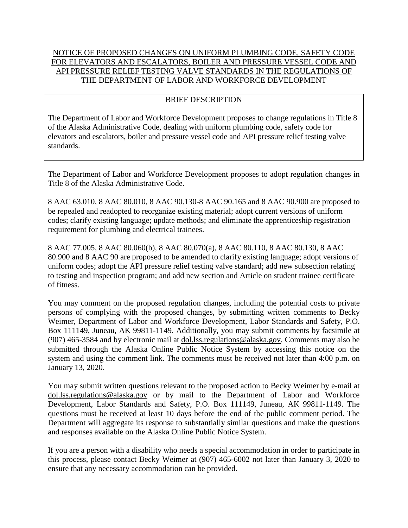## NOTICE OF PROPOSED CHANGES ON UNIFORM PLUMBING CODE, SAFETY CODE FOR ELEVATORS AND ESCALATORS, BOILER AND PRESSURE VESSEL CODE AND API PRESSURE RELIEF TESTING VALVE STANDARDS IN THE REGULATIONS OF THE DEPARTMENT OF LABOR AND WORKFORCE DEVELOPMENT

## BRIEF DESCRIPTION

The Department of Labor and Workforce Development proposes to change regulations in Title 8 of the Alaska Administrative Code, dealing with uniform plumbing code, safety code for elevators and escalators, boiler and pressure vessel code and API pressure relief testing valve standards.

The Department of Labor and Workforce Development proposes to adopt regulation changes in Title 8 of the Alaska Administrative Code.

8 AAC 63.010, 8 AAC 80.010, 8 AAC 90.130-8 AAC 90.165 and 8 AAC 90.900 are proposed to be repealed and readopted to reorganize existing material; adopt current versions of uniform codes; clarify existing language; update methods; and eliminate the apprenticeship registration requirement for plumbing and electrical trainees.

8 AAC 77.005, 8 AAC 80.060(b), 8 AAC 80.070(a), 8 AAC 80.110, 8 AAC 80.130, 8 AAC 80.900 and 8 AAC 90 are proposed to be amended to clarify existing language; adopt versions of uniform codes; adopt the API pressure relief testing valve standard; add new subsection relating to testing and inspection program; and add new section and Article on student trainee certificate of fitness.

You may comment on the proposed regulation changes, including the potential costs to private persons of complying with the proposed changes, by submitting written comments to Becky Weimer, Department of Labor and Workforce Development, Labor Standards and Safety, P.O. Box 111149, Juneau, AK 99811-1149. Additionally, you may submit comments by facsimile at (907) 465-3584 and by electronic mail at dol.lss.regulations@alaska.gov. Comments may also be submitted through the Alaska Online Public Notice System by accessing this notice on the system and using the comment link. The comments must be received not later than 4:00 p.m. on January 13, 2020.

You may submit written questions relevant to the proposed action to Becky Weimer by e-mail at dol.lss.regulations@alaska.gov or by mail to the Department of Labor and Workforce Development, Labor Standards and Safety, P.O. Box 111149, Juneau, AK 99811-1149. The questions must be received at least 10 days before the end of the public comment period. The Department will aggregate its response to substantially similar questions and make the questions and responses available on the Alaska Online Public Notice System.

If you are a person with a disability who needs a special accommodation in order to participate in this process, please contact Becky Weimer at (907) 465-6002 not later than January 3, 2020 to ensure that any necessary accommodation can be provided.